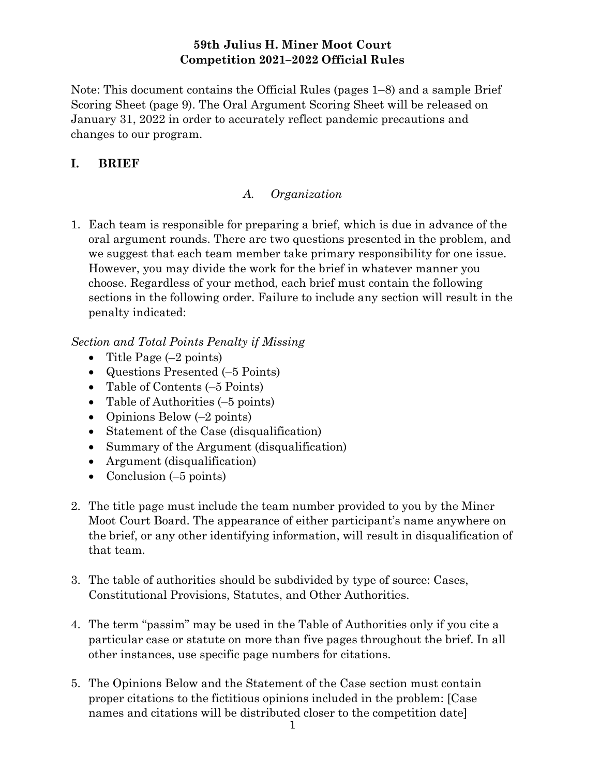## 59th Julius H. Miner Moot Court Competition 2021–2022 Official Rules

Note: This document contains the Official Rules (pages 1–8) and a sample Brief Scoring Sheet (page 9). The Oral Argument Scoring Sheet will be released on January 31, 2022 in order to accurately reflect pandemic precautions and changes to our program.

# I. BRIEF

## A. Organization

1. Each team is responsible for preparing a brief, which is due in advance of the oral argument rounds. There are two questions presented in the problem, and we suggest that each team member take primary responsibility for one issue. However, you may divide the work for the brief in whatever manner you choose. Regardless of your method, each brief must contain the following sections in the following order. Failure to include any section will result in the penalty indicated:

# Section and Total Points Penalty if Missing

- Title Page  $(-2 \text{ points})$
- Questions Presented (–5 Points)
- Table of Contents (-5 Points)
- Table of Authorities (–5 points)
- Opinions Below  $(-2 \text{ points})$
- Statement of the Case (disqualification)
- Summary of the Argument (disqualification)
- Argument (disqualification)
- Conclusion  $(-5 \text{ points})$
- 2. The title page must include the team number provided to you by the Miner Moot Court Board. The appearance of either participant's name anywhere on the brief, or any other identifying information, will result in disqualification of that team.
- 3. The table of authorities should be subdivided by type of source: Cases, Constitutional Provisions, Statutes, and Other Authorities.
- 4. The term "passim" may be used in the Table of Authorities only if you cite a particular case or statute on more than five pages throughout the brief. In all other instances, use specific page numbers for citations.
- 5. The Opinions Below and the Statement of the Case section must contain proper citations to the fictitious opinions included in the problem: [Case names and citations will be distributed closer to the competition date]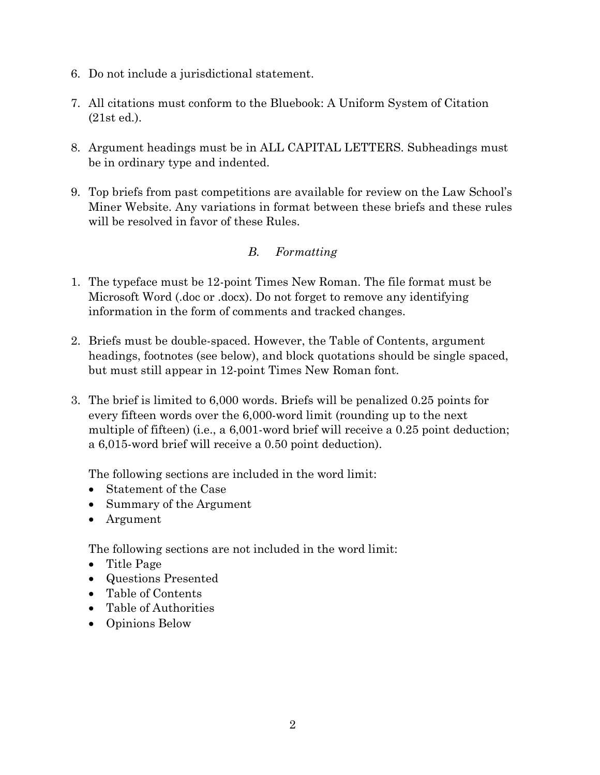- 6. Do not include a jurisdictional statement.
- 7. All citations must conform to the Bluebook: A Uniform System of Citation (21st ed.).
- 8. Argument headings must be in ALL CAPITAL LETTERS. Subheadings must be in ordinary type and indented.
- 9. Top briefs from past competitions are available for review on the Law School's Miner Website. Any variations in format between these briefs and these rules will be resolved in favor of these Rules.

# B. Formatting

- 1. The typeface must be 12-point Times New Roman. The file format must be Microsoft Word (.doc or .docx). Do not forget to remove any identifying information in the form of comments and tracked changes.
- 2. Briefs must be double-spaced. However, the Table of Contents, argument headings, footnotes (see below), and block quotations should be single spaced, but must still appear in 12-point Times New Roman font.
- 3. The brief is limited to 6,000 words. Briefs will be penalized 0.25 points for every fifteen words over the 6,000-word limit (rounding up to the next multiple of fifteen) (i.e., a 6,001-word brief will receive a 0.25 point deduction; a 6,015-word brief will receive a 0.50 point deduction).

The following sections are included in the word limit:

- Statement of the Case
- Summary of the Argument
- Argument

The following sections are not included in the word limit:

- Title Page
- Questions Presented
- Table of Contents
- Table of Authorities
- Opinions Below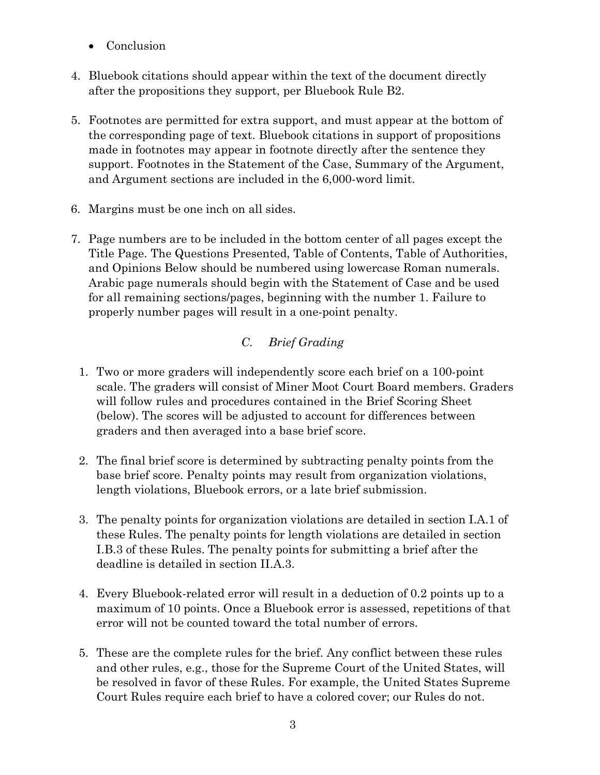- Conclusion
- 4. Bluebook citations should appear within the text of the document directly after the propositions they support, per Bluebook Rule B2.
- 5. Footnotes are permitted for extra support, and must appear at the bottom of the corresponding page of text. Bluebook citations in support of propositions made in footnotes may appear in footnote directly after the sentence they support. Footnotes in the Statement of the Case, Summary of the Argument, and Argument sections are included in the 6,000-word limit.
- 6. Margins must be one inch on all sides.
- 7. Page numbers are to be included in the bottom center of all pages except the Title Page. The Questions Presented, Table of Contents, Table of Authorities, and Opinions Below should be numbered using lowercase Roman numerals. Arabic page numerals should begin with the Statement of Case and be used for all remaining sections/pages, beginning with the number 1. Failure to properly number pages will result in a one-point penalty.

# C. Brief Grading

- 1. Two or more graders will independently score each brief on a 100-point scale. The graders will consist of Miner Moot Court Board members. Graders will follow rules and procedures contained in the Brief Scoring Sheet (below). The scores will be adjusted to account for differences between graders and then averaged into a base brief score.
- 2. The final brief score is determined by subtracting penalty points from the base brief score. Penalty points may result from organization violations, length violations, Bluebook errors, or a late brief submission.
- 3. The penalty points for organization violations are detailed in section I.A.1 of these Rules. The penalty points for length violations are detailed in section I.B.3 of these Rules. The penalty points for submitting a brief after the deadline is detailed in section II.A.3.
- 4. Every Bluebook-related error will result in a deduction of 0.2 points up to a maximum of 10 points. Once a Bluebook error is assessed, repetitions of that error will not be counted toward the total number of errors.
- 5. These are the complete rules for the brief. Any conflict between these rules and other rules, e.g., those for the Supreme Court of the United States, will be resolved in favor of these Rules. For example, the United States Supreme Court Rules require each brief to have a colored cover; our Rules do not.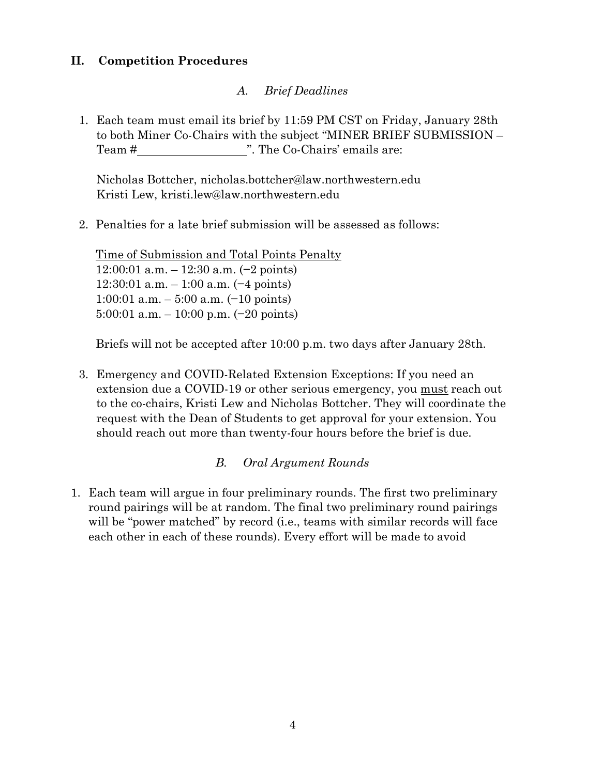## II. Competition Procedures

# A. Brief Deadlines

1. Each team must email its brief by 11:59 PM CST on Friday, January 28th to both Miner Co-Chairs with the subject "MINER BRIEF SUBMISSION – Team # ". The Co-Chairs' emails are:

Nicholas Bottcher, nicholas.bottcher@law.northwestern.edu Kristi Lew, kristi.lew@law.northwestern.edu

2. Penalties for a late brief submission will be assessed as follows:

Time of Submission and Total Points Penalty 12:00:01 a.m. – 12:30 a.m. (−2 points) 12:30:01 a.m. – 1:00 a.m. (−4 points) 1:00:01 a.m. – 5:00 a.m. (−10 points) 5:00:01 a.m. – 10:00 p.m. (−20 points)

Briefs will not be accepted after 10:00 p.m. two days after January 28th.

3. Emergency and COVID-Related Extension Exceptions: If you need an extension due a COVID-19 or other serious emergency, you must reach out to the co-chairs, Kristi Lew and Nicholas Bottcher. They will coordinate the request with the Dean of Students to get approval for your extension. You should reach out more than twenty-four hours before the brief is due.

## B. Oral Argument Rounds

1. Each team will argue in four preliminary rounds. The first two preliminary round pairings will be at random. The final two preliminary round pairings will be "power matched" by record (i.e., teams with similar records will face each other in each of these rounds). Every effort will be made to avoid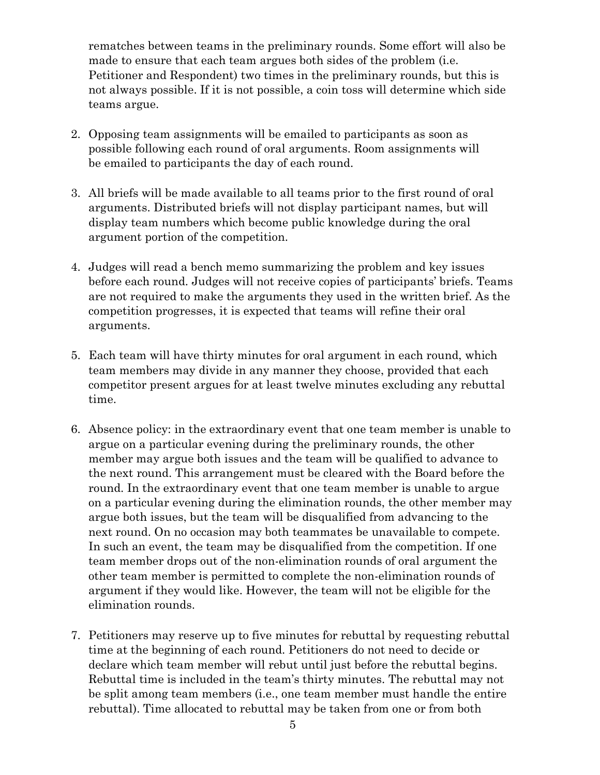rematches between teams in the preliminary rounds. Some effort will also be made to ensure that each team argues both sides of the problem (i.e. Petitioner and Respondent) two times in the preliminary rounds, but this is not always possible. If it is not possible, a coin toss will determine which side teams argue.

- 2. Opposing team assignments will be emailed to participants as soon as possible following each round of oral arguments. Room assignments will be emailed to participants the day of each round.
- 3. All briefs will be made available to all teams prior to the first round of oral arguments. Distributed briefs will not display participant names, but will display team numbers which become public knowledge during the oral argument portion of the competition.
- 4. Judges will read a bench memo summarizing the problem and key issues before each round. Judges will not receive copies of participants' briefs. Teams are not required to make the arguments they used in the written brief. As the competition progresses, it is expected that teams will refine their oral arguments.
- 5. Each team will have thirty minutes for oral argument in each round, which team members may divide in any manner they choose, provided that each competitor present argues for at least twelve minutes excluding any rebuttal time.
- 6. Absence policy: in the extraordinary event that one team member is unable to argue on a particular evening during the preliminary rounds, the other member may argue both issues and the team will be qualified to advance to the next round. This arrangement must be cleared with the Board before the round. In the extraordinary event that one team member is unable to argue on a particular evening during the elimination rounds, the other member may argue both issues, but the team will be disqualified from advancing to the next round. On no occasion may both teammates be unavailable to compete. In such an event, the team may be disqualified from the competition. If one team member drops out of the non-elimination rounds of oral argument the other team member is permitted to complete the non-elimination rounds of argument if they would like. However, the team will not be eligible for the elimination rounds.
- 7. Petitioners may reserve up to five minutes for rebuttal by requesting rebuttal time at the beginning of each round. Petitioners do not need to decide or declare which team member will rebut until just before the rebuttal begins. Rebuttal time is included in the team's thirty minutes. The rebuttal may not be split among team members (i.e., one team member must handle the entire rebuttal). Time allocated to rebuttal may be taken from one or from both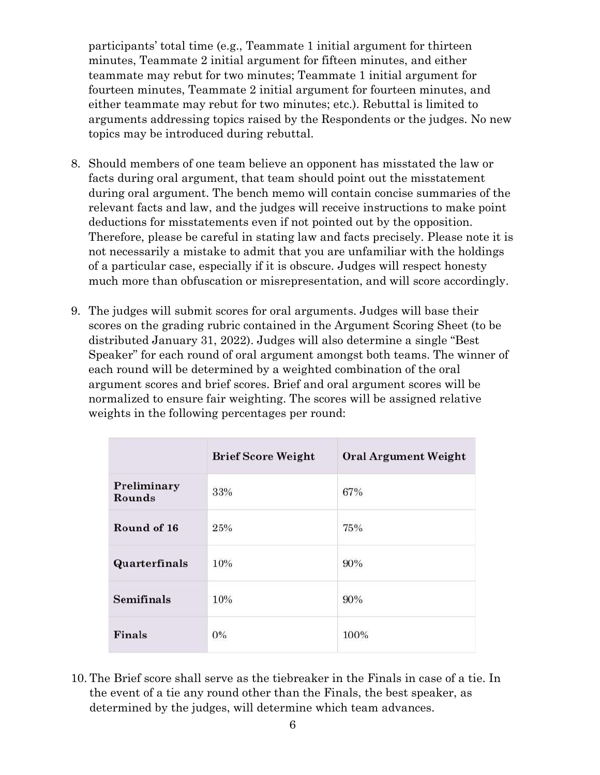participants' total time (e.g., Teammate 1 initial argument for thirteen minutes, Teammate 2 initial argument for fifteen minutes, and either teammate may rebut for two minutes; Teammate 1 initial argument for fourteen minutes, Teammate 2 initial argument for fourteen minutes, and either teammate may rebut for two minutes; etc.). Rebuttal is limited to arguments addressing topics raised by the Respondents or the judges. No new topics may be introduced during rebuttal.

- 8. Should members of one team believe an opponent has misstated the law or facts during oral argument, that team should point out the misstatement during oral argument. The bench memo will contain concise summaries of the relevant facts and law, and the judges will receive instructions to make point deductions for misstatements even if not pointed out by the opposition. Therefore, please be careful in stating law and facts precisely. Please note it is not necessarily a mistake to admit that you are unfamiliar with the holdings of a particular case, especially if it is obscure. Judges will respect honesty much more than obfuscation or misrepresentation, and will score accordingly.
- 9. The judges will submit scores for oral arguments. Judges will base their scores on the grading rubric contained in the Argument Scoring Sheet (to be distributed January 31, 2022). Judges will also determine a single "Best Speaker" for each round of oral argument amongst both teams. The winner of each round will be determined by a weighted combination of the oral argument scores and brief scores. Brief and oral argument scores will be normalized to ensure fair weighting. The scores will be assigned relative weights in the following percentages per round:

|                       | <b>Brief Score Weight</b> | <b>Oral Argument Weight</b> |  |  |
|-----------------------|---------------------------|-----------------------------|--|--|
| Preliminary<br>Rounds | 33%                       | 67%                         |  |  |
| Round of 16           | 25%                       | 75%                         |  |  |
| Quarterfinals         | 10%                       | 90%                         |  |  |
| <b>Semifinals</b>     | 10%                       | 90%                         |  |  |
| Finals                | $0\%$                     | 100%                        |  |  |

10. The Brief score shall serve as the tiebreaker in the Finals in case of a tie. In the event of a tie any round other than the Finals, the best speaker, as determined by the judges, will determine which team advances.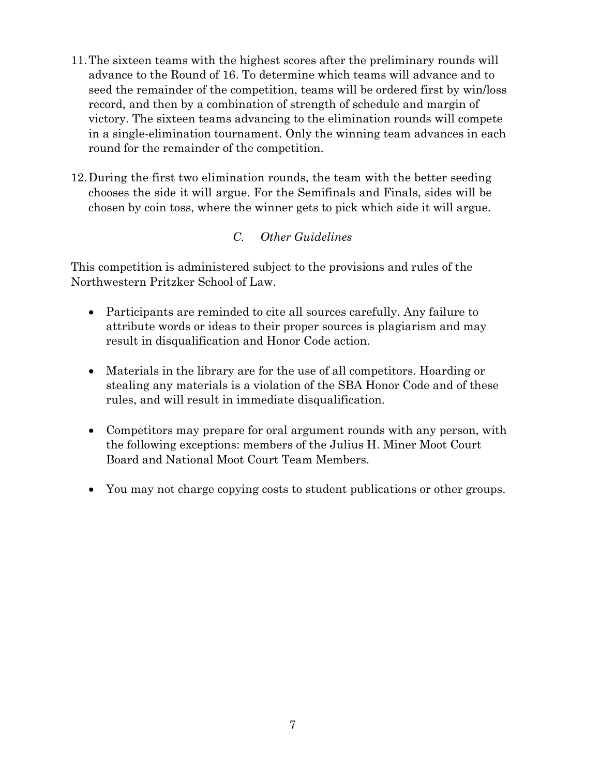- 11.The sixteen teams with the highest scores after the preliminary rounds will advance to the Round of 16. To determine which teams will advance and to seed the remainder of the competition, teams will be ordered first by win/loss record, and then by a combination of strength of schedule and margin of victory. The sixteen teams advancing to the elimination rounds will compete in a single-elimination tournament. Only the winning team advances in each round for the remainder of the competition.
- 12.During the first two elimination rounds, the team with the better seeding chooses the side it will argue. For the Semifinals and Finals, sides will be chosen by coin toss, where the winner gets to pick which side it will argue.

## C. Other Guidelines

This competition is administered subject to the provisions and rules of the Northwestern Pritzker School of Law.

- Participants are reminded to cite all sources carefully. Any failure to attribute words or ideas to their proper sources is plagiarism and may result in disqualification and Honor Code action.
- Materials in the library are for the use of all competitors. Hoarding or stealing any materials is a violation of the SBA Honor Code and of these rules, and will result in immediate disqualification.
- Competitors may prepare for oral argument rounds with any person, with the following exceptions: members of the Julius H. Miner Moot Court Board and National Moot Court Team Members.
- You may not charge copying costs to student publications or other groups.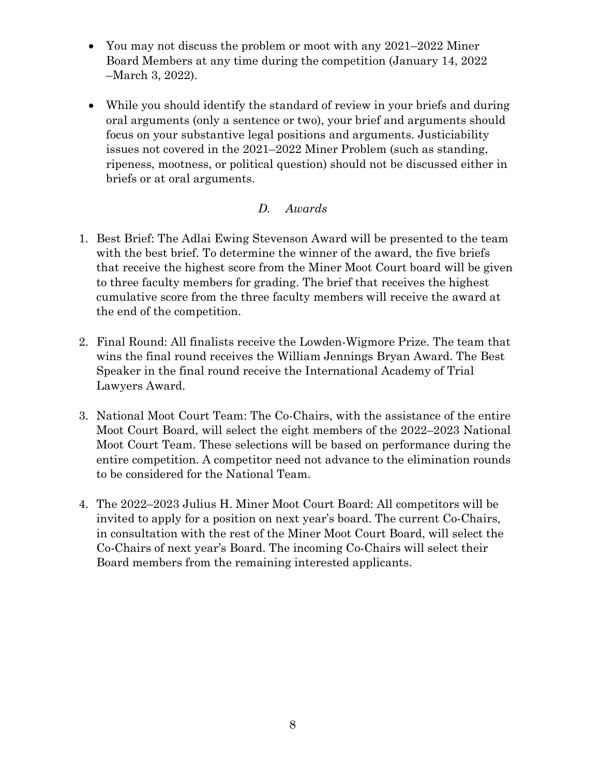- You may not discuss the problem or moot with any 2021–2022 Miner Board Members at any time during the competition (January 14, 2022 – March 3, 2022).
- While you should identify the standard of review in your briefs and during oral arguments (only a sentence or two), your brief and arguments should focus on your substantive legal positions and arguments. Justiciability issues not covered in the 2021–2022 Miner Problem (such as standing, ripeness, mootness, or political question) should not be discussed either in briefs or at oral arguments.

## D. Awards

- 1. Best Brief: The Adlai Ewing Stevenson Award will be presented to the team with the best brief. To determine the winner of the award, the five briefs that receive the highest score from the Miner Moot Court board will be given to three faculty members for grading. The brief that receives the highest cumulative score from the three faculty members will receive the award at the end of the competition.
- 2. Final Round: All finalists receive the Lowden-Wigmore Prize. The team that wins the final round receives the William Jennings Bryan Award. The Best Speaker in the final round receive the International Academy of Trial Lawyers Award.
- 3. National Moot Court Team: The Co-Chairs, with the assistance of the entire Moot Court Board, will select the eight members of the 2022–2023 National Moot Court Team. These selections will be based on performance during the entire competition. A competitor need not advance to the elimination rounds to be considered for the National Team.
- 4. The 2022–2023 Julius H. Miner Moot Court Board: All competitors will be invited to apply for a position on next year's board. The current Co-Chairs, in consultation with the rest of the Miner Moot Court Board, will select the Co-Chairs of next year's Board. The incoming Co-Chairs will select their Board members from the remaining interested applicants.